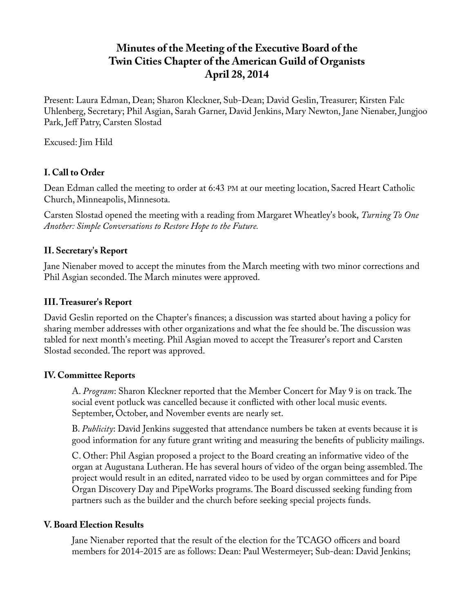# **Minutes of the Meeting of the Executive Board of the Twin Cities Chapter of the American Guild of Organists April 28, 2014**

Present: Laura Edman, Dean; Sharon Kleckner, Sub-Dean; David Geslin, Treasurer; Kirsten Falc Uhlenberg, Secretary; Phil Asgian, Sarah Garner, David Jenkins, Mary Newton, Jane Nienaber, Jungjoo Park, Jeff Patry, Carsten Slostad

Excused: Jim Hild

## **I. Call to Order**

Dean Edman called the meeting to order at 6:43 PM at our meeting location, Sacred Heart Catholic Church, Minneapolis, Minnesota.

Carsten Slostad opened the meeting with a reading from Margaret Wheatley's book, *Turning To One Another: Simple Conversations to Restore Hope to the Future.*

# **II. Secretary's Report**

Jane Nienaber moved to accept the minutes from the March meeting with two minor corrections and Phil Asgian seconded. The March minutes were approved.

# **III. Treasurer's Report**

David Geslin reported on the Chapter's finances; a discussion was started about having a policy for sharing member addresses with other organizations and what the fee should be. The discussion was tabled for next month's meeting. Phil Asgian moved to accept the Treasurer's report and Carsten Slostad seconded. The report was approved.

## **IV. Committee Reports**

A. *Program*: Sharon Kleckner reported that the Member Concert for May 9 is on track. The social event potluck was cancelled because it conflicted with other local music events. September, October, and November events are nearly set.

B. *Publicity*: David Jenkins suggested that attendance numbers be taken at events because it is good information for any future grant writing and measuring the benefits of publicity mailings.

C. Other: Phil Asgian proposed a project to the Board creating an informative video of the organ at Augustana Lutheran. He has several hours of video of the organ being assembled. The project would result in an edited, narrated video to be used by organ committees and for Pipe Organ Discovery Day and PipeWorks programs. The Board discussed seeking funding from partners such as the builder and the church before seeking special projects funds.

## **V. Board Election Results**

Jane Nienaber reported that the result of the election for the TCAGO officers and board members for 2014-2015 are as follows: Dean: Paul Westermeyer; Sub-dean: David Jenkins;